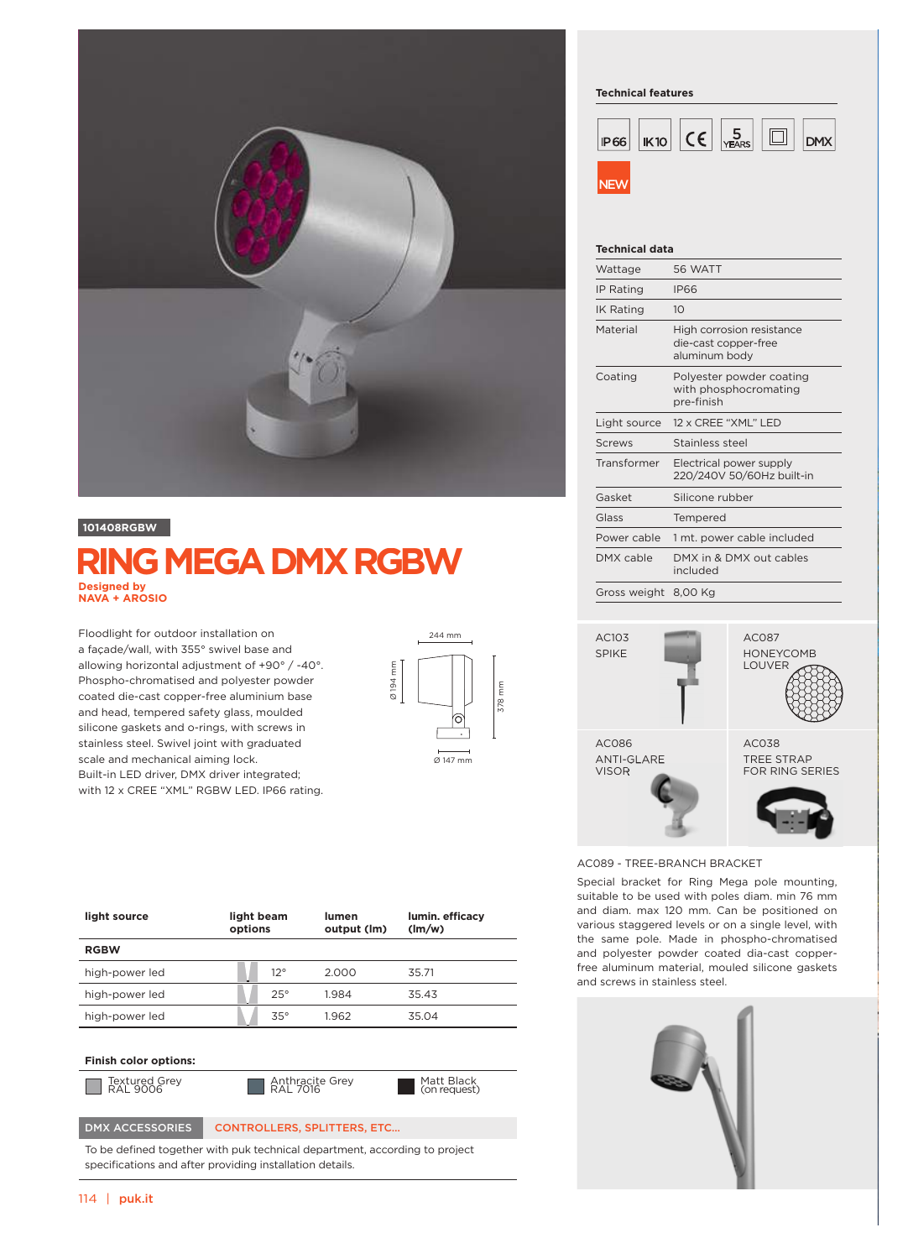

### **101408RGBW**

# **RING MEGA DMX RGBW Designed by NAVA + AROSIO**

Floodlight for outdoor installation on a façade/wall, with 355° swivel base and allowing horizontal adjustment of +90° / -40°. Phospho-chromatised and polyester powder coated die-cast copper-free aluminium base and head, tempered safety glass, moulded silicone gaskets and o-rings, with screws in stainless steel. Swivel joint with graduated scale and mechanical aiming lock. Built-in LED driver, DMX driver integrated; with 12 x CREE "XML" RGBW LED. IP66 rating.



#### **Technical features**



#### **Technical data**

| Wattage              | 56 WATT                                                            |  |  |
|----------------------|--------------------------------------------------------------------|--|--|
| <b>IP Rating</b>     | <b>IP66</b>                                                        |  |  |
| <b>IK Rating</b>     | 10                                                                 |  |  |
| Material             | High corrosion resistance<br>die-cast copper-free<br>aluminum body |  |  |
| Coating              | Polyester powder coating<br>with phosphocromating<br>pre-finish    |  |  |
| Light source         | 12 x CREE "XML" LED                                                |  |  |
| Screws               | Stainless steel                                                    |  |  |
| Transformer          | Electrical power supply<br>220/240V 50/60Hz built-in               |  |  |
| Gasket               | Silicone rubber                                                    |  |  |
| Glass                | Tempered                                                           |  |  |
| Power cable          | 1 mt. power cable included                                         |  |  |
| DMX cable            | DMX in & DMX out cables<br>included                                |  |  |
| Gross weight 8,00 Kg |                                                                    |  |  |



AC089 - TREE-BRANCH BRACKET

Special bracket for Ring Mega pole mounting, suitable to be used with poles diam. min 76 mm and diam. max 120 mm. Can be positioned on various staggered levels or on a single level, with the same pole. Made in phospho-chromatised and polyester powder coated dia-cast copperfree aluminum material, mouled silicone gaskets and screws in stainless steel.



| light source                 | light beam<br>options | lumen<br>output (lm) | lumin. efficacy<br>$\frac{1}{2}$ |
|------------------------------|-----------------------|----------------------|----------------------------------|
| <b>RGBW</b>                  |                       |                      |                                  |
| high-power led               | $12^{\circ}$          | 2.000                | 35.71                            |
| high-power led               | $25^\circ$            | 1.984                | 35.43                            |
| high-power led               | $35^\circ$            | 1.962                | 35.04                            |
|                              |                       |                      |                                  |
| <b>Finish color options:</b> |                       |                      |                                  |

Textured Grey

Textured Grey **Anthracite Grey**<br>RAL 9006 **And All 2016** 

Matt Black (on request)

## DMX ACCESSORIES CONTROLLERS, SPLITTERS, ETC...

To be defined together with puk technical department, according to project specifications and after providing installation details.